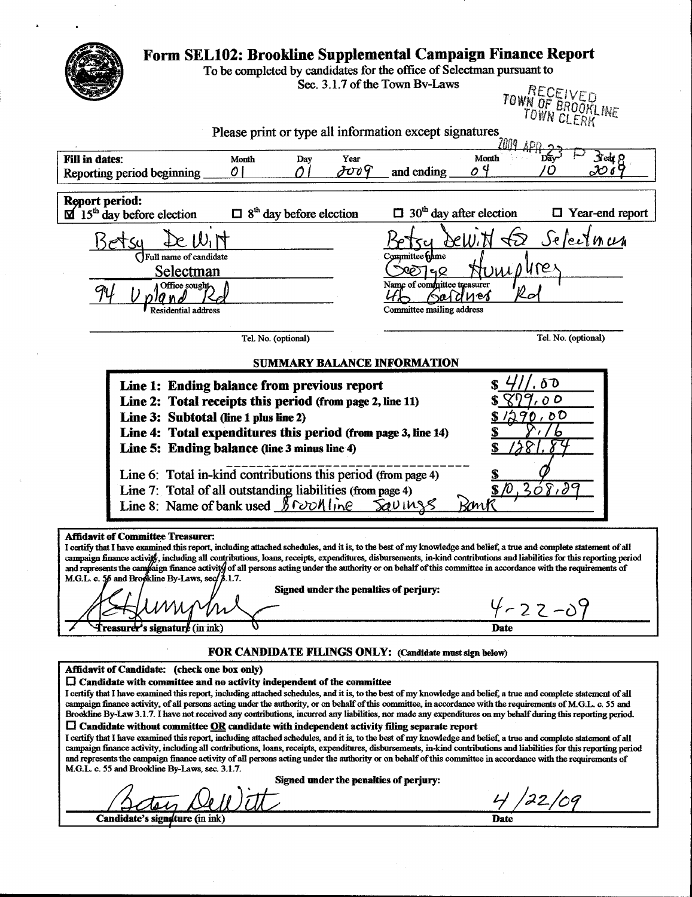|                       |                                                                                                                                                                                                                                                                                                                                                                                                                                                                                                                                                                                                                                                                                                                                                                                                                                                                                                                                                                                                                                                                                                                                                                                                                                                                                                          | To be completed by candidates for the office of Selectman pursuant to |                                                                                                          | Sec. 3.1.7 of the Town By-Laws             |                         | <b>TOWN OF BROOKL</b><br>TOWN CLERK |                   |
|-----------------------|----------------------------------------------------------------------------------------------------------------------------------------------------------------------------------------------------------------------------------------------------------------------------------------------------------------------------------------------------------------------------------------------------------------------------------------------------------------------------------------------------------------------------------------------------------------------------------------------------------------------------------------------------------------------------------------------------------------------------------------------------------------------------------------------------------------------------------------------------------------------------------------------------------------------------------------------------------------------------------------------------------------------------------------------------------------------------------------------------------------------------------------------------------------------------------------------------------------------------------------------------------------------------------------------------------|-----------------------------------------------------------------------|----------------------------------------------------------------------------------------------------------|--------------------------------------------|-------------------------|-------------------------------------|-------------------|
|                       |                                                                                                                                                                                                                                                                                                                                                                                                                                                                                                                                                                                                                                                                                                                                                                                                                                                                                                                                                                                                                                                                                                                                                                                                                                                                                                          |                                                                       | Please print or type all information except signatures                                                   |                                            |                         |                                     |                   |
| <b>Fill in dates:</b> | Reporting period beginning                                                                                                                                                                                                                                                                                                                                                                                                                                                                                                                                                                                                                                                                                                                                                                                                                                                                                                                                                                                                                                                                                                                                                                                                                                                                               | Month<br>01                                                           | Year<br>Day<br>JUUT                                                                                      | and ending                                 | Month<br>O <sup>4</sup> |                                     | Sreat 8<br>20 o T |
| <b>Report period:</b> | $\overline{\mathbf{M}}$ 15 <sup>th</sup> day before election                                                                                                                                                                                                                                                                                                                                                                                                                                                                                                                                                                                                                                                                                                                                                                                                                                                                                                                                                                                                                                                                                                                                                                                                                                             | $\Box$ 8 <sup>th</sup> day before election                            |                                                                                                          | $\Box$ 30 <sup>th</sup> day after election |                         | $\Box$ Year-end report              |                   |
|                       |                                                                                                                                                                                                                                                                                                                                                                                                                                                                                                                                                                                                                                                                                                                                                                                                                                                                                                                                                                                                                                                                                                                                                                                                                                                                                                          |                                                                       |                                                                                                          |                                            |                         | Jelecinum                           |                   |
|                       | Full name of candidate                                                                                                                                                                                                                                                                                                                                                                                                                                                                                                                                                                                                                                                                                                                                                                                                                                                                                                                                                                                                                                                                                                                                                                                                                                                                                   |                                                                       |                                                                                                          | Committee filme                            |                         |                                     |                   |
|                       | Selectman                                                                                                                                                                                                                                                                                                                                                                                                                                                                                                                                                                                                                                                                                                                                                                                                                                                                                                                                                                                                                                                                                                                                                                                                                                                                                                |                                                                       |                                                                                                          | <b>ফ্টা</b> ন্দ                            |                         | re                                  |                   |
|                       | Office sought                                                                                                                                                                                                                                                                                                                                                                                                                                                                                                                                                                                                                                                                                                                                                                                                                                                                                                                                                                                                                                                                                                                                                                                                                                                                                            |                                                                       |                                                                                                          | Name of committee treasurer<br>Sard        | ี ทอง                   |                                     |                   |
|                       | Residential address                                                                                                                                                                                                                                                                                                                                                                                                                                                                                                                                                                                                                                                                                                                                                                                                                                                                                                                                                                                                                                                                                                                                                                                                                                                                                      |                                                                       |                                                                                                          | Committee mailing address                  |                         |                                     |                   |
|                       |                                                                                                                                                                                                                                                                                                                                                                                                                                                                                                                                                                                                                                                                                                                                                                                                                                                                                                                                                                                                                                                                                                                                                                                                                                                                                                          | Tel. No. (optional)                                                   |                                                                                                          |                                            |                         | Tel. No. (optional)                 |                   |
|                       |                                                                                                                                                                                                                                                                                                                                                                                                                                                                                                                                                                                                                                                                                                                                                                                                                                                                                                                                                                                                                                                                                                                                                                                                                                                                                                          |                                                                       | <b>SUMMARY BALANCE INFORMATION</b>                                                                       |                                            |                         |                                     |                   |
|                       | Line 3: Subtotal (line 1 plus line 2)<br>Line 4: Total expenditures this period (from page 3, line 14)<br>Line 5: Ending balance (line 3 minus line 4)                                                                                                                                                                                                                                                                                                                                                                                                                                                                                                                                                                                                                                                                                                                                                                                                                                                                                                                                                                                                                                                                                                                                                   |                                                                       | Line 1: Ending balance from previous report<br>Line 2: Total receipts this period (from page 2, line 11) |                                            | አጽ                      | 9,00<br>1290,00<br>6                |                   |
|                       | Line 6: Total in-kind contributions this period (from page 4)<br>Line 7: Total of all outstanding liabilities (from page 4)<br>Line 8: Name of bank used $\frac{\cancel{6} \text{[c]}}{\cancel{6} \text{[c]}}$                                                                                                                                                                                                                                                                                                                                                                                                                                                                                                                                                                                                                                                                                                                                                                                                                                                                                                                                                                                                                                                                                           |                                                                       |                                                                                                          | SOUINSS                                    |                         | \$1, 308.00                         |                   |
|                       | <b>Affidavit of Committee Treasurer:</b><br>I certify that I have examined this report, including attached schedules, and it is, to the best of my knowledge and belief, a true and complete statement of all<br>campaign finance activity, including all contributions, loans, receipts, expenditures, disbursements, in-kind contributions and liabilities for this reporting period<br>and represents the campaign finance activity of all persons acting under the authority or on behalf of this committee in accordance with the requirements of<br>M.G.L. c. 56 and Brookline By-Laws, sec/ $\beta$ .1.7.<br><b>Treasurer's signature</b> (in ink)                                                                                                                                                                                                                                                                                                                                                                                                                                                                                                                                                                                                                                                |                                                                       | Signed under the penalties of perjury:                                                                   |                                            | Date                    | $4 - 22 - 09$                       |                   |
|                       |                                                                                                                                                                                                                                                                                                                                                                                                                                                                                                                                                                                                                                                                                                                                                                                                                                                                                                                                                                                                                                                                                                                                                                                                                                                                                                          |                                                                       | <b>FOR CANDIDATE FILINGS ONLY:</b> (Candidate must sign below)                                           |                                            |                         |                                     |                   |
|                       | Affidavit of Candidate: (check one box only)<br>$\Box$ Candidate with committee and no activity independent of the committee<br>I certify that I have examined this report, including attached schedules, and it is, to the best of my knowledge and belief, a true and complete statement of all<br>campaign finance activity, of all persons acting under the authority, or on behalf of this committee, in accordance with the requirements of M.G.L. c. 55 and<br>Brookline By-Law 3.1.7. I have not received any contributions, incurred any liabilities, nor made any expenditures on my behalf during this reporting period.<br>$\Box$ Candidate without committee OR candidate with independent activity filing separate report<br>I certify that I have examined this report, including attached schedules, and it is, to the best of my knowledge and belief, a true and complete statement of all<br>campaign finance activity, including all contributions, loans, receipts, expenditures, disbursements, in-kind contributions and liabilities for this reporting period<br>and represents the campaign finance activity of all persons acting under the authority or on behalf of this committee in accordance with the requirements of<br>M.G.L. c. 55 and Brookline By-Laws, sec. 3.1.7. |                                                                       |                                                                                                          |                                            |                         |                                     |                   |
|                       |                                                                                                                                                                                                                                                                                                                                                                                                                                                                                                                                                                                                                                                                                                                                                                                                                                                                                                                                                                                                                                                                                                                                                                                                                                                                                                          |                                                                       | Signed under the penalties of perjury:                                                                   |                                            |                         | 22/09                               |                   |

 $\frac{1}{2}$ 

 $\sim$  8  $^{\circ}$ 

 $\bar{\mathbf{r}}$ 

 $\sim$   $\sqrt{ }$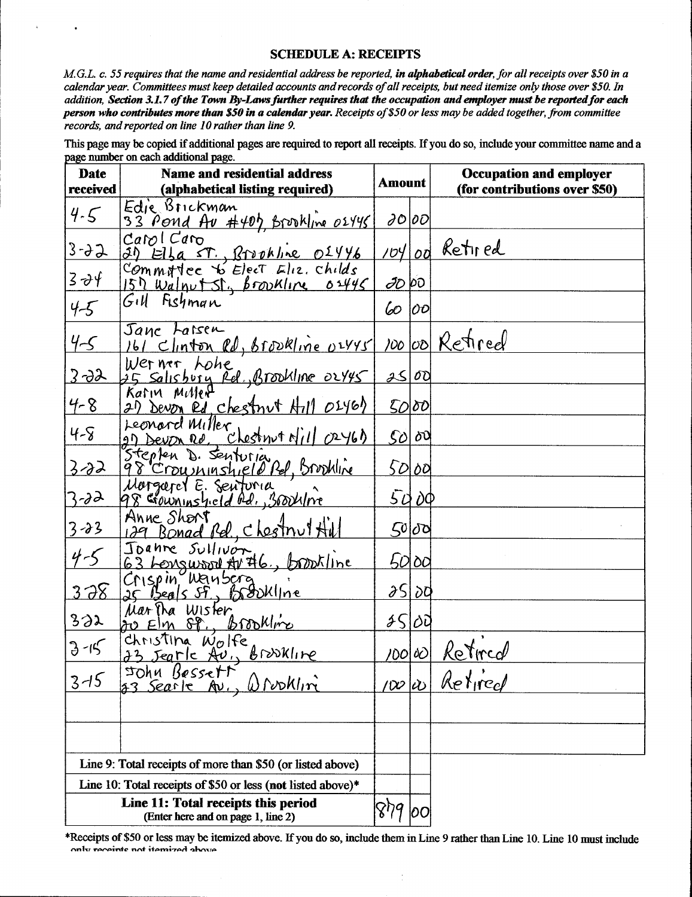## **SCHEDULE A: RECEIPTS**

M.G.L. c. 55 requires that the name and residential address be reported, in alphabetical order, for all receipts over \$50 in a  $\it{calend}$  calendar year.  $\it{Committers}$  must keep detailed accounts and records of all receipts, but need itemize only those over \$50. In M.G.L. c. 55 requires that the name and residential address be reported, **in alphabetical order**, for all receipts over \$50 in a<br>calendar year. Committees must keep detailed accounts and records of all receipts, but need i person who contributes more than \$50 in a calendar year. Receipts of \$50 or less may be added together, from committee  $r$ ecords, and reported on line 10 rather than line 9.

| Date             | <b>Name and residential address</b>                                                                            |                      |                                         | <b>Occupation and employer</b>                |
|------------------|----------------------------------------------------------------------------------------------------------------|----------------------|-----------------------------------------|-----------------------------------------------|
| received         | (alphabetical listing required)                                                                                |                      | Amount<br>(for contributions over \$50) |                                               |
| $4 - 5$          | Edje Brickman<br>33 Pond Av #407 Brookline 02445                                                               | $\partial O$ $ O$    |                                         |                                               |
| $3 - 32$         | CapCem                                                                                                         |                      |                                         | 104 od Retired                                |
| $3 - \partial f$ | 31) Ella ST., Brookline 01446<br>Commatee to Elect Eliz. childs<br>$157$ Walpet St., <i>brownline</i> $0.4445$ | 20 00                |                                         |                                               |
| $4 - 5$          | Gill Fishman                                                                                                   | 60                   | 00                                      |                                               |
| $4 - 5$          | Jane Larsen<br>161 Clinton Rd, Brookline 02445                                                                 |                      |                                         | 100 00 Retired                                |
| <u>3-92</u>      | Werner, Lohe<br>25 Salısbury Rel., Brookline OLY45<br>Karın Miller                                             | 2500                 |                                         |                                               |
| $4 - 8$          | 2) Devon ed chestnut Hill 0246)                                                                                |                      | 5000                                    |                                               |
| $4 - 8$          | Leonard Miller<br>2) Devon Ro, chestrut Nill 02461                                                             |                      | $ SO \delta 0$                          |                                               |
| $3 - 32$         | Stepten D. Senturia<br>98 Croushinshield Rel, Brookline<br>Morgaret E. Senturia                                |                      | 50 00                                   |                                               |
| $3 - 32$         |                                                                                                                |                      | 5000                                    |                                               |
| $3 - 33$         | Anne Short<br>129 Bonad Rd., clostnul Hill                                                                     |                      | 50 00                                   |                                               |
| $4 - 5$          | Joanne Sullivon<br>63 Lengwood Av #6, brookline                                                                |                      | 5000                                    |                                               |
| 378              | Crispin Wanscra<br>25 Beals St, Brankline                                                                      |                      | 25 I 20                                 |                                               |
| 332              | Martha Wister<br><u>du Elm SP., Brookline</u>                                                                  | 2500                 |                                         |                                               |
| $3 - 15$         | Christina Wolfe<br>23 Jeanle Au, Brookline                                                                     | /00 00               |                                         | $\sim$ $\ell$ <sup>2</sup><br><u>Retircal</u> |
| $3 - 15$         | Sohu Bessett<br>§3 Searle Av.<br>$0$ rooklin                                                                   | $\infty$ li $\infty$ |                                         | Retired                                       |
|                  |                                                                                                                |                      |                                         |                                               |
|                  | Line 9: Total receipts of more than \$50 (or listed above)                                                     |                      |                                         |                                               |
|                  | Line 10: Total receipts of \$50 or less (not listed above)*                                                    |                      |                                         |                                               |
|                  | Line 11: Total receipts this period<br>(Enter here and on page 1, line 2)                                      |                      | 100                                     |                                               |

\*Receipts of \$50 or less may be itemized above. If you do so, include them in Line 9 rather than Line 10. Line 10 must include **EXECUTE 11: 1 OTAL FECT:**<br>Enter here and on<br>Receipts of \$50 or less may be iter<br>only receipts not itemized above

 $\epsilon$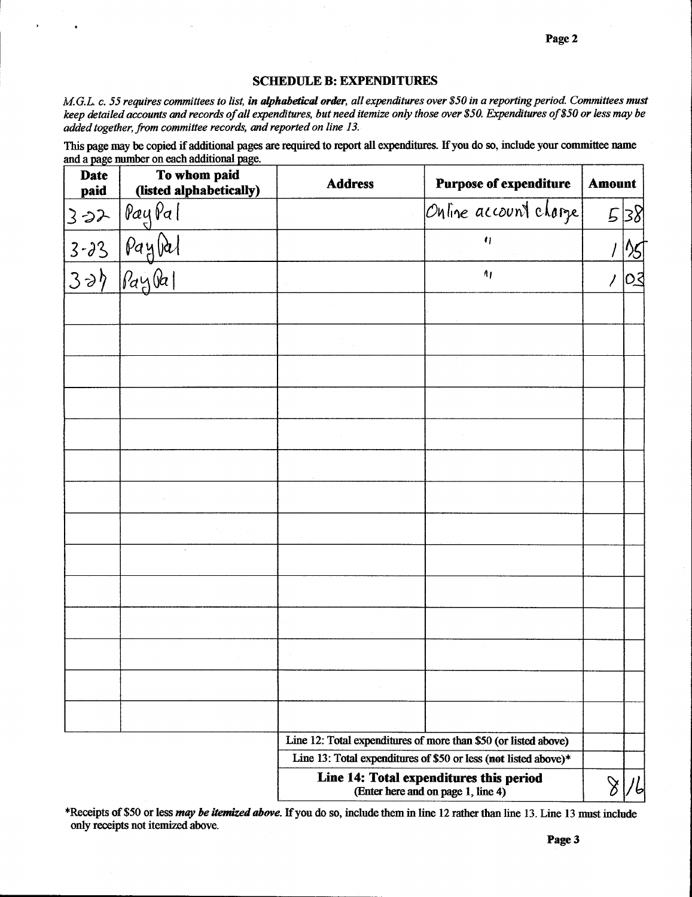## **SCHEDULE B: EXPENDITURES**

M.G.L. c. 55 requires committees to list, in alphabetical order, all expenditures over \$50 in a reporting period. Committees must keep detailed accounts and records of all expenditures, but need itemize only those over \$50. Expenditures of \$50 or less may be added together, from committee records, and reported on line 13.

This page may be copied if additional pages are required to report all expenditures. If you do so, include your committee name and a page number on each additional page.

| <b>Date</b><br>paid | To whom paid<br>(listed alphabetically) | <b>Purpose of expenditure</b><br><b>Address</b>                               | <b>Amount</b> |     |
|---------------------|-----------------------------------------|-------------------------------------------------------------------------------|---------------|-----|
| 322                 | PayPal                                  | Online account charge                                                         |               | 538 |
|                     | Pay                                     | $\eta$                                                                        |               |     |
| $rac{3-33}{3-29}$   | $\beta$ ay                              | $\Lambda_I$                                                                   |               |     |
|                     |                                         |                                                                               |               |     |
|                     |                                         |                                                                               |               |     |
|                     |                                         |                                                                               |               |     |
|                     |                                         |                                                                               |               |     |
|                     |                                         |                                                                               |               |     |
|                     |                                         |                                                                               |               |     |
|                     |                                         |                                                                               |               |     |
|                     |                                         |                                                                               |               |     |
|                     |                                         |                                                                               |               |     |
|                     |                                         |                                                                               |               |     |
|                     |                                         |                                                                               |               |     |
|                     |                                         |                                                                               |               |     |
|                     |                                         |                                                                               |               |     |
|                     |                                         |                                                                               |               |     |
|                     |                                         | Line 12: Total expenditures of more than \$50 (or listed above)               |               |     |
|                     |                                         | Line 13: Total expenditures of \$50 or less (not listed above)*               |               |     |
|                     |                                         | Line 14: Total expenditures this period<br>(Enter here and on page 1, line 4) | $\aleph$      |     |

\*Receipts of \$50 or less *may be itemized above*. If you do so, include them in line 12 rather than line 13. Line 13 must include only receipts not itemized above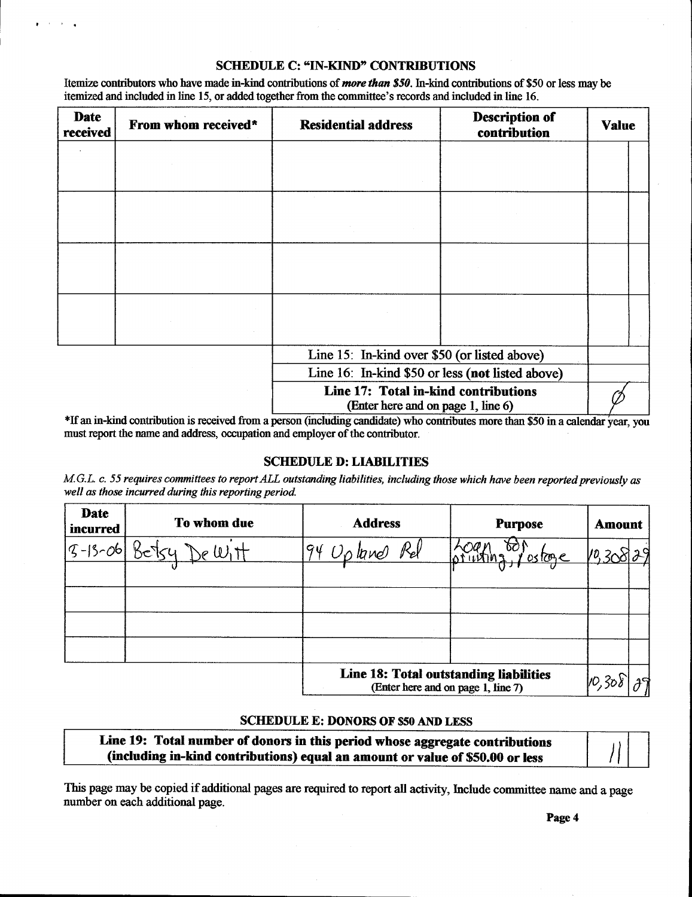## SCHEDULE C: "IN-KIND" CONTRIBUTIONS

Itemize contributors who have made in-kind contributions of *more than \$50*. In-kind contributions of \$50 or less may be itemized and included in line 15, or added together from the committee's records and included in line SCHEDULE C: "IN-KIND" CONTRIBUTIONS<br>
Itemize contributors who have made in-kind contributions of *more than \$50*. In-kind contributions of \$5<br>
itemized and included in line 15, or added together from the committee's record

| <b>Date</b><br>received | From whom received* | <b>Residential address</b>                                                 | <b>Description of</b><br>contribution | <b>Value</b> |  |
|-------------------------|---------------------|----------------------------------------------------------------------------|---------------------------------------|--------------|--|
|                         |                     |                                                                            |                                       |              |  |
|                         |                     |                                                                            |                                       |              |  |
|                         |                     |                                                                            |                                       |              |  |
|                         |                     |                                                                            |                                       |              |  |
|                         |                     |                                                                            |                                       |              |  |
|                         |                     |                                                                            |                                       |              |  |
|                         |                     |                                                                            |                                       |              |  |
|                         |                     |                                                                            |                                       |              |  |
|                         |                     | Line 15: In-kind over \$50 (or listed above)                               |                                       |              |  |
|                         |                     | Line 16: In-kind \$50 or less (not listed above)                           |                                       |              |  |
|                         |                     | Line 17: Total in-kind contributions<br>(Enter here and on page 1, line 6) |                                       |              |  |

\*If an in-kind contribution is received from a person (including candidate) who contributes more than \$50 in a calendar year, you must report the name and address, occupation and employer of the contributor.

#### **SCHEDULE D: LIABILITIES**

M.G.L. c. 55 requires committees to report ALL outstanding liabilities, including those which have been reported previously as well as those incurred during this reporting period.

| <b>Date</b><br><i>incurred</i> | To whom due | <b>Address</b>                         | <b>Purpose</b>                     | <b>Amount</b> |
|--------------------------------|-------------|----------------------------------------|------------------------------------|---------------|
| $ 9 - 13 - 06 $                |             | 94 Upland Rel                          | ostoge                             |               |
|                                |             |                                        |                                    |               |
|                                |             |                                        |                                    |               |
|                                |             |                                        |                                    |               |
|                                |             | Line 18: Total outstanding liabilities | (Enter here and on page 1, line 7) | 10,308        |

### SCHEDULE E: DONORS OF \$50 AND LESS

| SCHEDULE E: DONORS OF \$50 AND LESS                                                                                                                           |  |
|---------------------------------------------------------------------------------------------------------------------------------------------------------------|--|
| Line 19: Total number of donors in this period whose aggregate contributions<br>(including in-kind contributions) equal an amount or value of \$50.00 or less |  |

This page may be copied if additional pages are required to report all activity, Include committee name and a page number on each additional page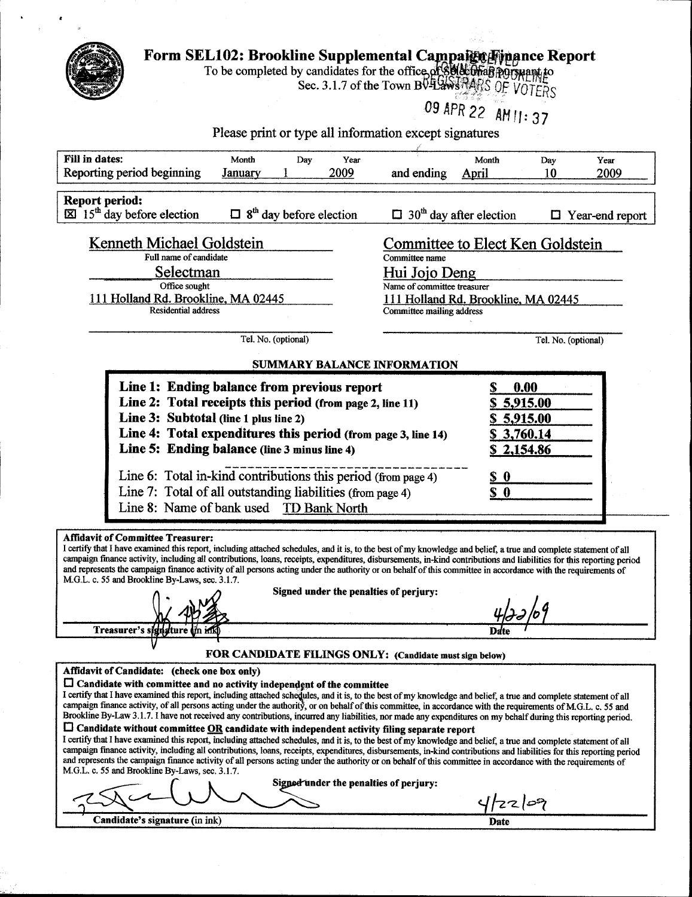| Form SEL102: Brookline Supplemental Campaign Finance Report<br>To be completed by candidates for the office of 800 Office POTTHAME<br>Sec. 3.1.7 of the Town BULLAWS MARS OF VOTERS                                                                                                                                                                                                                                                                                                                                                                                                 |                                             |
|-------------------------------------------------------------------------------------------------------------------------------------------------------------------------------------------------------------------------------------------------------------------------------------------------------------------------------------------------------------------------------------------------------------------------------------------------------------------------------------------------------------------------------------------------------------------------------------|---------------------------------------------|
| Please print or type all information except signatures                                                                                                                                                                                                                                                                                                                                                                                                                                                                                                                              | 09 APR 22 AM 11: 37                         |
| Fill in dates:<br>Month<br>Year<br>Day<br>Reporting period beginning<br>2009<br>and ending<br>January                                                                                                                                                                                                                                                                                                                                                                                                                                                                               | Month<br>Year<br>Day<br>10<br>2009<br>April |
| <b>Report period:</b><br>8 <sup>th</sup> day before election<br>$\boxtimes$ 15 <sup>th</sup> day before election<br>$30th$ day after election                                                                                                                                                                                                                                                                                                                                                                                                                                       | $\Box$ Year-end report                      |
| Kenneth Michael Goldstein                                                                                                                                                                                                                                                                                                                                                                                                                                                                                                                                                           | <b>Committee to Elect Ken Goldstein</b>     |
| Full name of candidate<br>Committee name<br>Selectman<br>Hui Jojo Deng                                                                                                                                                                                                                                                                                                                                                                                                                                                                                                              |                                             |
| Office sought<br>Name of committee treasurer<br>111 Holland Rd. Brookline, MA 02445<br><b>Residential address</b><br>Committee mailing address                                                                                                                                                                                                                                                                                                                                                                                                                                      | 111 Holland Rd. Brookline, MA 02445         |
| Tel. No. (optional)                                                                                                                                                                                                                                                                                                                                                                                                                                                                                                                                                                 | Tel. No. (optional)                         |
| SUMMARY BALANCE INFORMATION<br>Line 1: Ending balance from previous report                                                                                                                                                                                                                                                                                                                                                                                                                                                                                                          | 0.00                                        |
| Line 2: Total receipts this period (from page 2, line 11)                                                                                                                                                                                                                                                                                                                                                                                                                                                                                                                           | 5,915.00                                    |
| Line 3: Subtotal (line 1 plus line 2)<br>Line 4: Total expenditures this period (from page 3, line 14)<br>Line 5: Ending balance (line 3 minus line 4)                                                                                                                                                                                                                                                                                                                                                                                                                              | 5,915.00<br>\$3,760.14<br>\$2,154.86        |
| Line 6: Total in-kind contributions this period (from page 4)                                                                                                                                                                                                                                                                                                                                                                                                                                                                                                                       | $S_0$                                       |
| Line 7: Total of all outstanding liabilities (from page 4)<br>Line 8: Name of bank used TD Bank North                                                                                                                                                                                                                                                                                                                                                                                                                                                                               | S <sub>0</sub>                              |
| <b>Affidavit of Committee Treasurer:</b>                                                                                                                                                                                                                                                                                                                                                                                                                                                                                                                                            |                                             |
| I certify that I have examined this report, including attached schedules, and it is, to the best of my knowledge and belief, a true and complete statement of all<br>campaign finance activity, including all contributions, loans, receipts, expenditures, disbursements, in-kind contributions and liabilities for this reporting period<br>and represents the campaign finance activity of all persons acting under the authority or on behalf of this committee in accordance with the requirements of<br>M.G.L. c. 55 and Brookline By-Laws, sec. 3.1.7.                       |                                             |
| Signed under the penalties of perjury:                                                                                                                                                                                                                                                                                                                                                                                                                                                                                                                                              |                                             |
| Treasurer's signature on ink                                                                                                                                                                                                                                                                                                                                                                                                                                                                                                                                                        | Date                                        |
| FOR CANDIDATE FILINGS ONLY: (Candidate must sign below)<br>Affidavit of Candidate: (check one box only)                                                                                                                                                                                                                                                                                                                                                                                                                                                                             |                                             |
| $\Box$ Candidate with committee and no activity independent of the committee<br>I certify that I have examined this report, including attached schedules, and it is, to the best of my knowledge and belief, a true and complete statement of all<br>campaign finance activity, of all persons acting under the authority, or on behalf of this committee, in accordance with the requirements of M.G.L. c. 55 and<br>Brookline By-Law 3.1.7. I have not received any contributions, incurred any liabilities, nor made any expenditures on my behalf during this reporting period. |                                             |
| $\square$ Candidate without committee $\underline{OR}$ candidate with independent activity filing separate report<br>I certify that I have examined this report, including attached schedules, and it is, to the best of my knowledge and belief, a true and complete statement of all<br>campaign finance activity, including all contributions, loans, receipts, expenditures, disbursements, in-kind contributions and liabilities for this reporting period                                                                                                                     |                                             |
| and represents the campaign finance activity of all persons acting under the authority or on behalf of this committee in accordance with the requirements of                                                                                                                                                                                                                                                                                                                                                                                                                        |                                             |
| M.G.L. c. 55 and Brookline By-Laws, sec. 3.1.7.<br>Signed under the penalties of perjury:                                                                                                                                                                                                                                                                                                                                                                                                                                                                                           | 4/22/09                                     |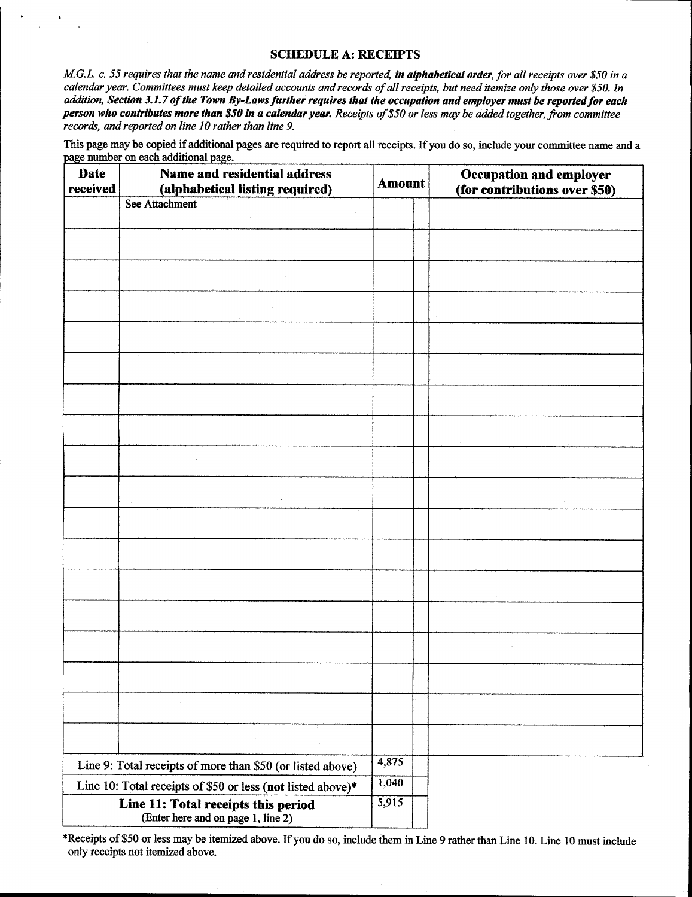#### **SCHEDULE A: RECEIPTS**

M.G.L. c.<br>calendar M.G.L. c. 55 requires that the name and residential address be reported, **in alphabetical order**, for all receipts over \$50 in a<br>calendar year. Committees must keep detailed accounts and records of all receipts, but need i calendar year. Committees must keep detailed accounts and records of all receipts, but need itemize only those over \$50. In<br>addition, Section 3.1.7 of the Town By-Laws further requires that the occupation and employer must person who contributes more than \$50 in a calendar year. Receipts of \$50 or less may be added together, from committee records, and reported on line 10 rather than line 9.

This page may be copied if additional pages are required to report all receipts. If you do so, include your committee name and a page number on each additional page.

| <b>Date</b><br>received | Name and residential address<br>(alphabetical listing required)           | <b>Amount</b>  | Occupation and employer<br>(for contributions over \$50) |
|-------------------------|---------------------------------------------------------------------------|----------------|----------------------------------------------------------|
|                         | See Attachment                                                            |                |                                                          |
|                         |                                                                           |                |                                                          |
|                         |                                                                           |                |                                                          |
|                         |                                                                           |                |                                                          |
|                         |                                                                           |                |                                                          |
|                         |                                                                           |                |                                                          |
|                         |                                                                           |                |                                                          |
|                         |                                                                           |                |                                                          |
|                         |                                                                           |                |                                                          |
|                         |                                                                           |                |                                                          |
|                         |                                                                           |                |                                                          |
|                         |                                                                           |                |                                                          |
|                         |                                                                           |                |                                                          |
|                         |                                                                           |                |                                                          |
|                         |                                                                           |                |                                                          |
|                         |                                                                           |                |                                                          |
|                         |                                                                           |                |                                                          |
|                         |                                                                           |                |                                                          |
|                         |                                                                           |                |                                                          |
|                         |                                                                           |                |                                                          |
|                         |                                                                           |                |                                                          |
|                         |                                                                           |                |                                                          |
|                         | Line 9: Total receipts of more than \$50 (or listed above)                | 4,875          |                                                          |
|                         | Line 10: Total receipts of \$50 or less (not listed above)*               | 1,040<br>5,915 |                                                          |
|                         | Line 11: Total receipts this period<br>(Enter here and on page 1, line 2) |                |                                                          |

\*Receipts of \$50 or less may be itemized above. If you do so, include them in Line 9 rather than Line 10. Line 10 must include only receipts not itemized above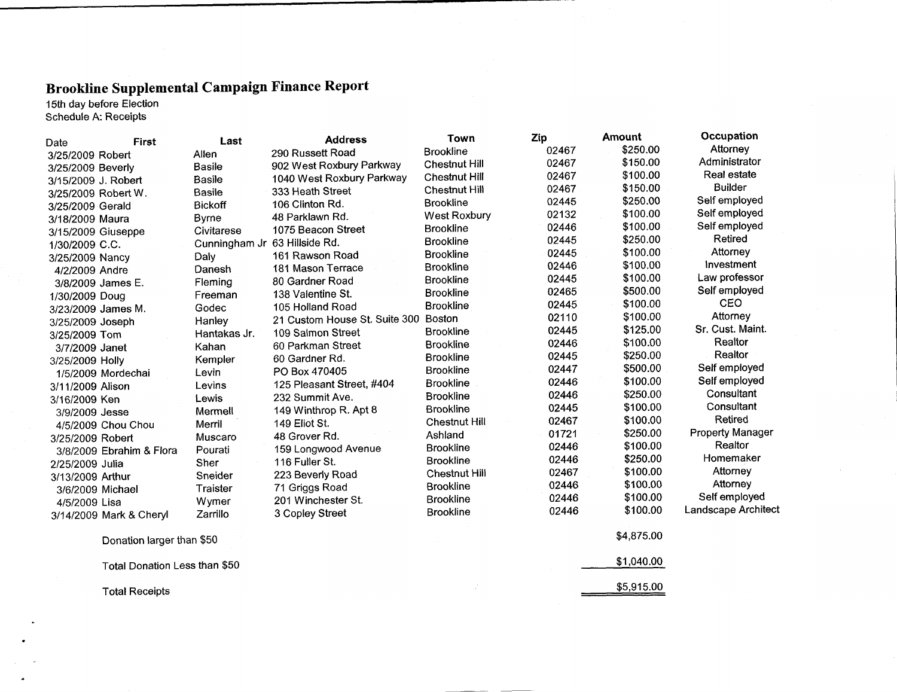## Brookline Supplemental Campaign Finance Report

|                   | 15th day before Election<br>Schedule A: Receipts |                               | DI CONHIIC Эпррієніснай Саніраізи і пісне 180 рок |                      |       |            |                         |
|-------------------|--------------------------------------------------|-------------------------------|---------------------------------------------------|----------------------|-------|------------|-------------------------|
| Date              | First                                            | Last                          | <b>Address</b>                                    | Town                 | Zip   | Amount     | Occupation              |
| 3/25/2009 Robert  |                                                  | Allen                         | 290 Russett Road                                  | <b>Brookline</b>     | 02467 | \$250.00   | Attorney                |
| 3/25/2009 Beverly |                                                  | <b>Basile</b>                 | 902 West Roxbury Parkway                          | <b>Chestnut Hill</b> | 02467 | \$150.00   | Administrator           |
|                   | 3/15/2009 J. Robert                              | Basile                        | 1040 West Roxbury Parkway                         | <b>Chestnut Hill</b> | 02467 | \$100.00   | Real estate             |
|                   | 3/25/2009 Robert W.                              | Basile                        | 333 Heath Street                                  | <b>Chestnut Hill</b> | 02467 | \$150.00   | <b>Builder</b>          |
| 3/25/2009 Gerald  |                                                  | <b>Bickoff</b>                | 106 Clinton Rd.                                   | <b>Brookline</b>     | 02445 | \$250.00   | Self employed           |
| 3/18/2009 Maura   |                                                  | <b>Byrne</b>                  | 48 Parklawn Rd.                                   | West Roxbury         | 02132 | \$100.00   | Self employed           |
|                   | 3/15/2009 Giuseppe                               | Civitarese                    | 1075 Beacon Street                                | <b>Brookline</b>     | 02446 | \$100.00   | Self employed           |
| 1/30/2009 C.C.    |                                                  | Cunningham Jr 63 Hillside Rd. |                                                   | <b>Brookline</b>     | 02445 | \$250.00   | Retired                 |
| 3/25/2009 Nancy   |                                                  | Daly                          | 161 Rawson Road                                   | <b>Brookline</b>     | 02445 | \$100.00   | Attorney                |
| 4/2/2009 Andre    |                                                  | Danesh                        | 181 Mason Terrace                                 | <b>Brookline</b>     | 02446 | \$100.00   | Investment              |
|                   | 3/8/2009 James E.                                | Fleming                       | 80 Gardner Road                                   | <b>Brookline</b>     | 02445 | \$100.00   | Law professor           |
| 1/30/2009 Doug    |                                                  | Freeman                       | 138 Valentine St.                                 | <b>Brookline</b>     | 02465 | \$500.00   | Self employed           |
|                   | 3/23/2009 James M.                               | Godec                         | 105 Holland Road                                  | <b>Brookline</b>     | 02445 | \$100.00   | <b>CEO</b>              |
| 3/25/2009 Joseph  |                                                  | Hanley                        | 21 Custom House St. Suite 300                     | Boston               | 02110 | \$100.00   | Attorney                |
| 3/25/2009 Tom     |                                                  | Hantakas Jr.                  | 109 Salmon Street                                 | <b>Brookline</b>     | 02445 | \$125.00   | Sr. Cust. Maint.        |
| 3/7/2009 Janet    |                                                  | Kahan                         | 60 Parkman Street                                 | <b>Brookline</b>     | 02446 | \$100.00   | Realtor                 |
| 3/25/2009 Holly   |                                                  | Kempler                       | 60 Gardner Rd.                                    | <b>Brookline</b>     | 02445 | \$250.00   | Realtor                 |
|                   | 1/5/2009 Mordechai                               | Levin                         | PO Box 470405                                     | <b>Brookline</b>     | 02447 | \$500.00   | Self employed           |
| 3/11/2009 Alison  |                                                  | Levins                        | 125 Pleasant Street, #404                         | <b>Brookline</b>     | 02446 | \$100.00   | Self employed           |
| 3/16/2009 Ken     |                                                  | Lewis                         | 232 Summit Ave.                                   | <b>Brookline</b>     | 02446 | \$250.00   | Consultant              |
| 3/9/2009 Jesse    |                                                  | Mermell                       | 149 Winthrop R. Apt 8                             | <b>Brookline</b>     | 02445 | \$100.00   | Consultant              |
|                   | 4/5/2009 Chou Chou                               | Merril                        | 149 Eliot St.                                     | <b>Chestnut Hill</b> | 02467 | \$100.00   | Retired                 |
| 3/25/2009 Robert  |                                                  | Muscaro                       | 48 Grover Rd.                                     | Ashland              | 01721 | \$250.00   | <b>Property Manager</b> |
|                   | 3/8/2009 Ebrahim & Flora                         | Pourati                       | 159 Longwood Avenue                               | <b>Brookline</b>     | 02446 | \$100.00   | Realtor                 |
| 2/25/2009 Julia   |                                                  | Sher                          | 116 Fuller St.                                    | <b>Brookline</b>     | 02446 | \$250.00   | Homemaker               |
| 3/13/2009 Arthur  |                                                  | Sneider                       | 223 Beverly Road                                  | <b>Chestnut Hill</b> | 02467 | \$100.00   | Attorney                |
|                   | 3/6/2009 Michael                                 | Traister                      | 71 Griggs Road                                    | <b>Brookline</b>     | 02446 | \$100.00   | Attorney                |
| 4/5/2009 Lisa     |                                                  | Wymer                         | 201 Winchester St.                                | <b>Brookline</b>     | 02446 | \$100.00   | Self employed           |
|                   | 3/14/2009 Mark & Cheryl                          | Zarrillo                      | 3 Copley Street                                   | <b>Brookline</b>     | 02446 | \$100.00   | Landscape Architect     |
|                   | Donation larger than \$50                        |                               |                                                   |                      |       | \$4,875.00 |                         |
|                   | Total Donation Less than \$50                    |                               |                                                   |                      |       | \$1,040.00 |                         |
|                   | <b>Total Receipts</b>                            |                               |                                                   |                      |       | \$5,915.00 |                         |
|                   |                                                  |                               |                                                   |                      |       |            |                         |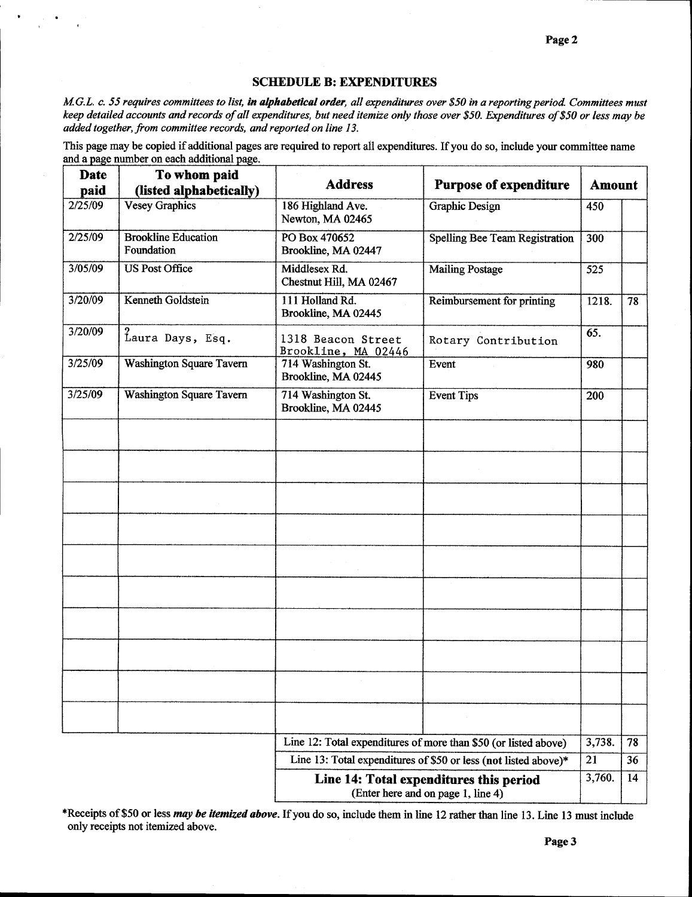## SCHEDULE B: EXPENDITURES

SCHEDULE B: EXPENDITURES<br>M.G.L. c. 55 requires committees to list, in alphabetical order, all expenditures over \$50 in a<br>keep detailed accounts and records of all expenditures, but need itemize only those over \$50. reporting period. Committees must keep detailed accounts and records of all expenditures, but need itemize only those over \$50. Expenditures of \$50 or less may be added together, from committee records, and reported on line 13.

This page may be copied if additional pages are required to report all expenditures. If you do so, include your committee name and a page number on each additional page.

| <b>Date</b>                                                                   | To whom paid                                     | <b>Address</b>                            | <b>Purpose of expenditure</b>                                   | <b>Amount</b> |    |
|-------------------------------------------------------------------------------|--------------------------------------------------|-------------------------------------------|-----------------------------------------------------------------|---------------|----|
| paid<br>2/25/09                                                               | (listed alphabetically)<br><b>Vesey Graphics</b> | 186 Highland Ave.<br>Newton, MA 02465     | <b>Graphic Design</b>                                           | 450           |    |
| 2/25/09                                                                       | <b>Brookline Education</b><br>Foundation         | PO Box 470652<br>Brookline, MA 02447      | <b>Spelling Bee Team Registration</b>                           | 300           |    |
| 3/05/09                                                                       | <b>US Post Office</b>                            | Middlesex Rd.<br>Chestnut Hill, MA 02467  | <b>Mailing Postage</b>                                          | 525           |    |
| 3/20/09                                                                       | <b>Kenneth Goldstein</b>                         | 111 Holland Rd.<br>Brookline, MA 02445    | <b>Reimbursement for printing</b>                               | 1218.         | 78 |
| 3/20/09                                                                       | Laura Days, Esq.                                 | 1318 Beacon Street<br>Brookline, MA 02446 | Rotary Contribution                                             | 65.           |    |
| 3/25/09                                                                       | <b>Washington Square Tavern</b>                  | 714 Washington St.<br>Brookline, MA 02445 | Event                                                           | 980           |    |
| 3/25/09                                                                       | <b>Washington Square Tavern</b>                  | 714 Washington St.<br>Brookline, MA 02445 | <b>Event Tips</b>                                               | 200           |    |
|                                                                               |                                                  |                                           |                                                                 |               |    |
|                                                                               |                                                  |                                           |                                                                 |               |    |
|                                                                               |                                                  |                                           |                                                                 |               |    |
|                                                                               |                                                  |                                           |                                                                 |               |    |
|                                                                               |                                                  |                                           |                                                                 |               |    |
|                                                                               |                                                  |                                           |                                                                 |               |    |
|                                                                               |                                                  |                                           |                                                                 |               |    |
|                                                                               |                                                  |                                           |                                                                 |               |    |
|                                                                               |                                                  |                                           |                                                                 |               |    |
|                                                                               |                                                  |                                           |                                                                 |               |    |
|                                                                               |                                                  |                                           | Line 12: Total expenditures of more than \$50 (or listed above) | 3,738.        | 78 |
|                                                                               |                                                  |                                           | Line 13: Total expenditures of \$50 or less (not listed above)* | 21            | 36 |
| Line 14: Total expenditures this period<br>(Enter here and on page 1, line 4) |                                                  |                                           |                                                                 | 3,760.        | 14 |

\*Receipts of \$50 or less *may be itemized above*. If you do so, include them in line 12 rather than line 13. Line 13 must include only receipts not itemized above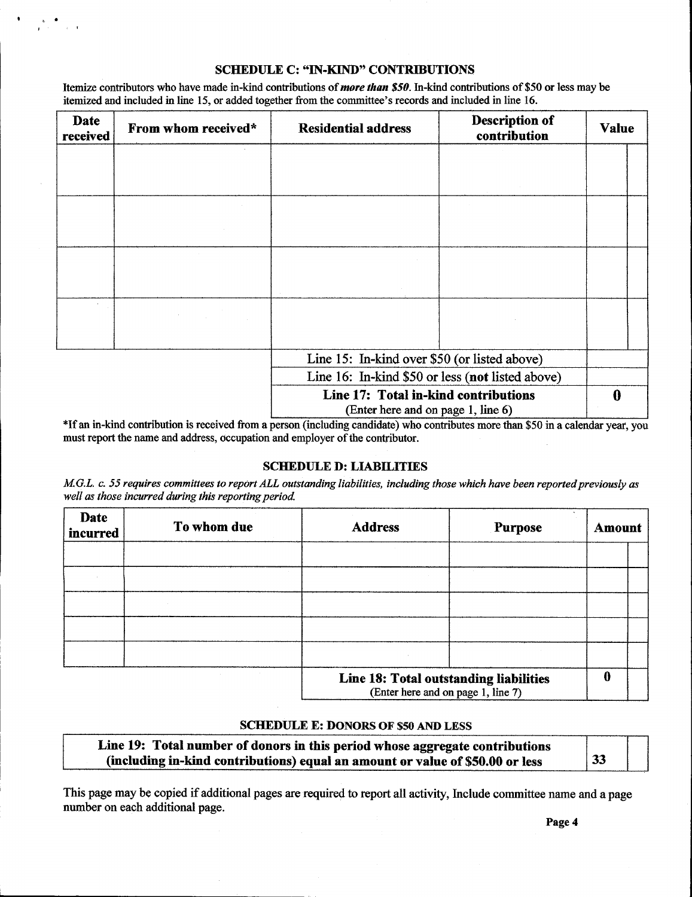## SCHEDULE C: "IN-KIND" CONTRIBUTIONS

**Itemize contributors who have made in-kind contributions of** *more than* **\$50. In-kind contributions of \$50 or less may be itemized and included in line 15 or added together from the committee's records and included in line** SCHEDULE C: "IN-KIND" CONTRIBUTIONS<br>
Itemize contributors who have made in-kind contributions of *more than* \$50. In-kind contributions of \$50<br>
itemized and included in line 15, or added together from the committee's recor

| Date<br>received | From whom received*                                                                                                    | <b>Residential address</b>                                                 | <b>Description of</b><br>contribution | <b>Value</b> |  |
|------------------|------------------------------------------------------------------------------------------------------------------------|----------------------------------------------------------------------------|---------------------------------------|--------------|--|
|                  |                                                                                                                        |                                                                            |                                       |              |  |
|                  |                                                                                                                        |                                                                            |                                       |              |  |
|                  |                                                                                                                        |                                                                            |                                       |              |  |
|                  |                                                                                                                        |                                                                            |                                       |              |  |
|                  |                                                                                                                        |                                                                            |                                       |              |  |
|                  |                                                                                                                        |                                                                            |                                       |              |  |
|                  | $\label{eq:2} \mathcal{L}(\mathcal{A}) = \mathcal{L}(\mathcal{A}) \mathcal{L}(\mathcal{A}) = \mathcal{L}(\mathcal{A})$ |                                                                            |                                       |              |  |
|                  |                                                                                                                        |                                                                            |                                       |              |  |
|                  |                                                                                                                        | Line 15: In-kind over \$50 (or listed above)                               |                                       |              |  |
|                  |                                                                                                                        | Line 16: In-kind \$50 or less (not listed above)                           |                                       |              |  |
|                  |                                                                                                                        | Line 17: Total in-kind contributions<br>(Enter here and on page 1, line 6) |                                       |              |  |

\*If an in-kind contribution is received from a person (including candidate) who contributes more than \$50 in a calendar year, you must report the name and address, occupation and employer of the contributor.

## **SCHEDULE D: LIABILITIES**

M.G.L. c. 55 requires committees to report ALL outstanding liabilities, including those which have been reported previously as well as those incurred during this reporting period.

| Date<br>incurred | To whom due | <b>Address</b>                                                               | <b>Purpose</b> | Amount |  |
|------------------|-------------|------------------------------------------------------------------------------|----------------|--------|--|
|                  |             |                                                                              |                |        |  |
|                  |             |                                                                              |                |        |  |
|                  |             |                                                                              |                |        |  |
|                  |             |                                                                              |                |        |  |
|                  |             |                                                                              |                |        |  |
|                  |             | Line 18: Total outstanding liabilities<br>(Enter here and on page 1, line 7) |                |        |  |

## SCHEDULE E: DONORS OF \$50 AND LESS

| <b>SCHEDULE E: DONORS OF \$50 AND LESS</b>                                                                                                                    |    |  |
|---------------------------------------------------------------------------------------------------------------------------------------------------------------|----|--|
| Line 19: Total number of donors in this period whose aggregate contributions<br>(including in-kind contributions) equal an amount or value of \$50.00 or less | 33 |  |

This page may be copied if additional pages are required to report all activity, Include committee name and a page number on each additional page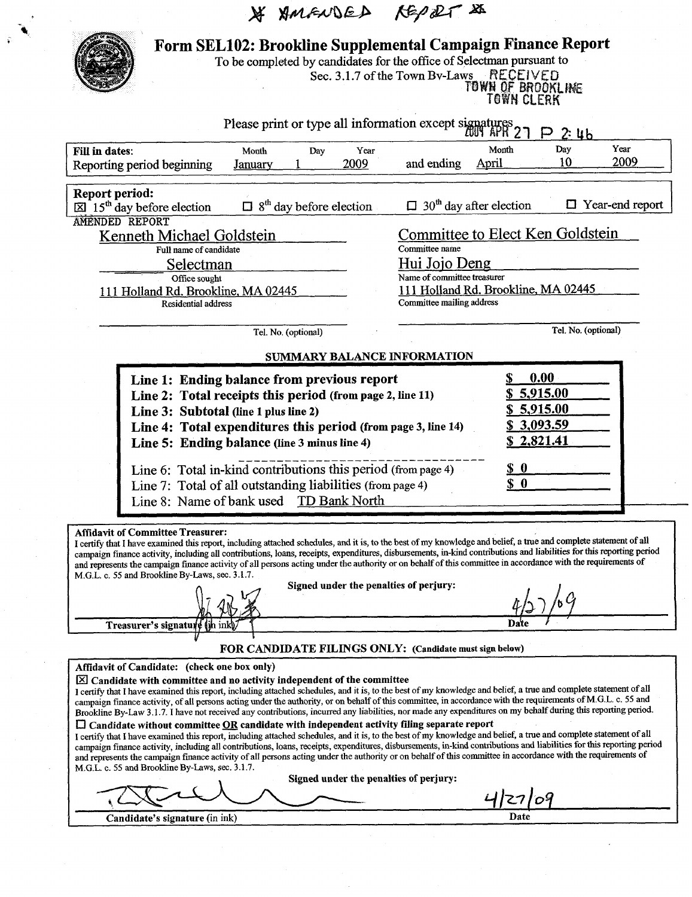|                                                                                                 | * AMENDED REPORT &                                                                                                                                                                                                                                                                                                                                                                                                                                                                                                                                                                                                                                                                                                                                                                                                                                                                                                                                                                                                                                                                                                                                                                                                                                                                 |                                                                                                 |                                                                            |
|-------------------------------------------------------------------------------------------------|------------------------------------------------------------------------------------------------------------------------------------------------------------------------------------------------------------------------------------------------------------------------------------------------------------------------------------------------------------------------------------------------------------------------------------------------------------------------------------------------------------------------------------------------------------------------------------------------------------------------------------------------------------------------------------------------------------------------------------------------------------------------------------------------------------------------------------------------------------------------------------------------------------------------------------------------------------------------------------------------------------------------------------------------------------------------------------------------------------------------------------------------------------------------------------------------------------------------------------------------------------------------------------|-------------------------------------------------------------------------------------------------|----------------------------------------------------------------------------|
|                                                                                                 |                                                                                                                                                                                                                                                                                                                                                                                                                                                                                                                                                                                                                                                                                                                                                                                                                                                                                                                                                                                                                                                                                                                                                                                                                                                                                    |                                                                                                 |                                                                            |
|                                                                                                 | Form SEL102: Brookline Supplemental Campaign Finance Report<br>To be completed by candidates for the office of Selectman pursuant to                                                                                                                                                                                                                                                                                                                                                                                                                                                                                                                                                                                                                                                                                                                                                                                                                                                                                                                                                                                                                                                                                                                                               | Sec. 3.1.7 of the Town By-Laws RECEIVED                                                         | TOWN OF BROOKLINE<br>TOWN CLERK                                            |
|                                                                                                 | Please print or type all information except signatures                                                                                                                                                                                                                                                                                                                                                                                                                                                                                                                                                                                                                                                                                                                                                                                                                                                                                                                                                                                                                                                                                                                                                                                                                             |                                                                                                 | 2:46                                                                       |
| Fill in dates:<br>Reporting period beginning                                                    | Year<br>Month<br>Day<br>2009<br>Januarv                                                                                                                                                                                                                                                                                                                                                                                                                                                                                                                                                                                                                                                                                                                                                                                                                                                                                                                                                                                                                                                                                                                                                                                                                                            | Month<br>and ending<br>April                                                                    | Year<br>Day<br>2009<br>10                                                  |
| <b>Report period:</b><br>$\boxtimes$ 15 <sup>th</sup> day before election<br>AMENDED REPORT     | 8 <sup>th</sup> day before election                                                                                                                                                                                                                                                                                                                                                                                                                                                                                                                                                                                                                                                                                                                                                                                                                                                                                                                                                                                                                                                                                                                                                                                                                                                | $\Box$ 30 <sup>th</sup> day after election                                                      | Year-end report                                                            |
| Kenneth Michael Goldstein<br>Full name of candidate                                             |                                                                                                                                                                                                                                                                                                                                                                                                                                                                                                                                                                                                                                                                                                                                                                                                                                                                                                                                                                                                                                                                                                                                                                                                                                                                                    | Committee name<br>Hui Jojo Deng                                                                 | Committee to Elect Ken Goldstein                                           |
| Selectman<br>Office sought<br>111 Holland Rd. Brookline, MA 02445<br><b>Residential address</b> |                                                                                                                                                                                                                                                                                                                                                                                                                                                                                                                                                                                                                                                                                                                                                                                                                                                                                                                                                                                                                                                                                                                                                                                                                                                                                    | Name of committee treasurer<br>111 Holland Rd. Brookline, MA 02445<br>Committee mailing address |                                                                            |
|                                                                                                 | Tel. No. (optional)                                                                                                                                                                                                                                                                                                                                                                                                                                                                                                                                                                                                                                                                                                                                                                                                                                                                                                                                                                                                                                                                                                                                                                                                                                                                |                                                                                                 | Tel. No. (optional)                                                        |
|                                                                                                 | Line 1: Ending balance from previous report<br>Line 2: Total receipts this period (from page 2, line 11)<br>Line 3: Subtotal (line 1 plus line 2)<br>Line 4: Total expenditures this period (from page 3, line 14)<br>Line 5: Ending balance (line 3 minus line 4)                                                                                                                                                                                                                                                                                                                                                                                                                                                                                                                                                                                                                                                                                                                                                                                                                                                                                                                                                                                                                 |                                                                                                 | 0.00<br>\$5,915.00<br><u>\$5,915.00</u><br><u>\$3,093.59</u><br>\$2,821.41 |
|                                                                                                 | Line 6: Total in-kind contributions this period (from page 4)<br>Line 7: Total of all outstanding liabilities (from page 4)<br>Line 8: Name of bank used TD Bank North                                                                                                                                                                                                                                                                                                                                                                                                                                                                                                                                                                                                                                                                                                                                                                                                                                                                                                                                                                                                                                                                                                             |                                                                                                 | $S_0$<br>S <sub>0</sub>                                                    |
| <b>Affidavit of Committee Treasurer:</b><br>M.G.L. c. 55 and Brookline By-Laws, sec. 3.1.7.     | I certify that I have examined this report, including attached schedules, and it is, to the best of my knowledge and belief, a true and complete statement of all<br>campaign finance activity, including all contributions, loans, receipts, expenditures, disbursements, in-kind contributions and liabilities for this reporting period<br>and represents the campaign finance activity of all persons acting under the authority or on behalf of this committee in accordance with the requirements of                                                                                                                                                                                                                                                                                                                                                                                                                                                                                                                                                                                                                                                                                                                                                                         |                                                                                                 |                                                                            |
|                                                                                                 | Signed under the penalties of perjury:                                                                                                                                                                                                                                                                                                                                                                                                                                                                                                                                                                                                                                                                                                                                                                                                                                                                                                                                                                                                                                                                                                                                                                                                                                             |                                                                                                 |                                                                            |
| Treasurer's signature                                                                           |                                                                                                                                                                                                                                                                                                                                                                                                                                                                                                                                                                                                                                                                                                                                                                                                                                                                                                                                                                                                                                                                                                                                                                                                                                                                                    |                                                                                                 |                                                                            |
| Affidavit of Candidate: (check one box only)<br>M.G.L. c. 55 and Brookline By-Laws, sec. 3.1.7. | FOR CANDIDATE FILINGS ONLY: (Candidate must sign below)<br>$[\times] Candidate with committee and no activity independent of the committee$<br>I certify that I have examined this report, including attached schedules, and it is, to the best of my knowledge and belief, a true and complete statement of all<br>campaign finance activity, of all persons acting under the authority, or on behalf of this committee, in accordance with the requirements of M.G.L. c. 55 and<br>Brookline By-Law 3.1.7. I have not received any contributions, incurred any liabilities, nor made any expenditures on my behalf during this reporting period.<br>$\Box$ Candidate without committee $\underline{OR}$ candidate with independent activity filing separate report<br>I certify that I have examined this report, including attached schedules, and it is, to the best of my knowledge and belief, a true and complete statement of all<br>campaign finance activity, including all contributions, loans, receipts, expenditures, disbursements, in-kind contributions and liabilities for this reporting period<br>and represents the campaign finance activity of all persons acting under the authority or on behalf of this committee in accordance with the requirements of |                                                                                                 |                                                                            |
|                                                                                                 | Signed under the penalties of perjury:                                                                                                                                                                                                                                                                                                                                                                                                                                                                                                                                                                                                                                                                                                                                                                                                                                                                                                                                                                                                                                                                                                                                                                                                                                             |                                                                                                 | 4/27/09                                                                    |

 $\label{eq:2} \begin{split} \mathcal{L}_{\text{eff}}^{(1)}(\mathbf{r})=0. \end{split}$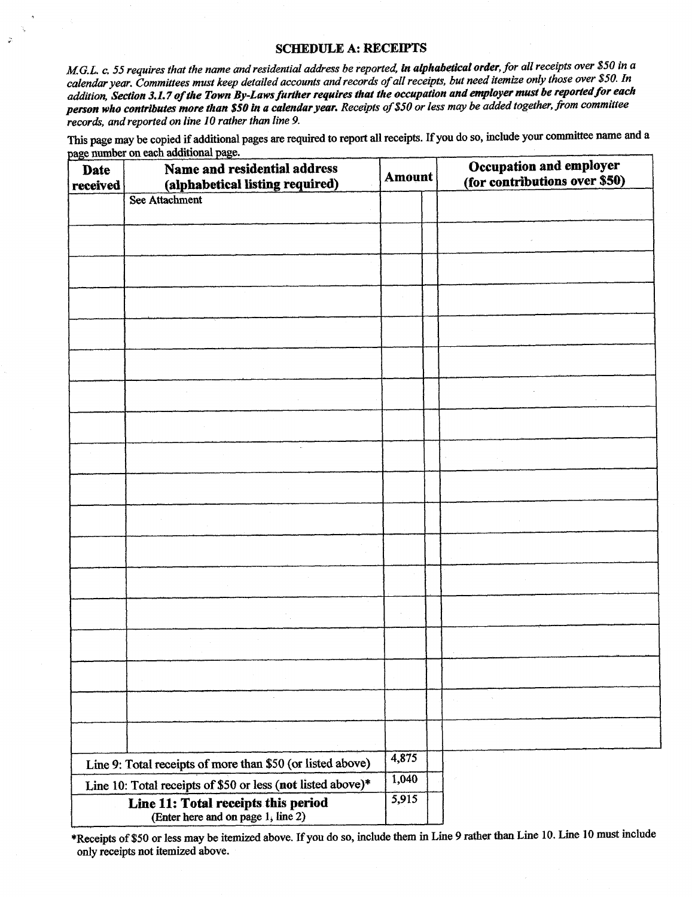## SCHEDULE A: RECEIPTS

M.G.L. c. 55 requires that the name and residential address be reported, in alphabetical order, for all receipts over \$50 in a calendar year. Committees must keep detailed accounts and records of all receipts, but need itemize only those over \$50. In addition, Section 3.1.7 of the Town By-Laws further requires that the occupation and employer must be reported for each person who contributes more than \$50 in a calendar year. Receipts of \$50 or less may be added together, from committee records, and reported on line 10 rather than line 9.

This page may be copied if additional pages are required to report all receipts. If you do so, include your committee name and a age number who contributes more than<br>and reported on line 10 range may be copied if addition<br>mber on each additional page

| <b>Date</b><br>received | Name and residential address<br>(alphabetical listing required)           | <b>Amount</b> |  | Occupation and employer<br>(for contributions over \$50) |
|-------------------------|---------------------------------------------------------------------------|---------------|--|----------------------------------------------------------|
|                         | See Attachment                                                            |               |  |                                                          |
|                         |                                                                           |               |  |                                                          |
|                         |                                                                           |               |  |                                                          |
|                         |                                                                           |               |  |                                                          |
|                         |                                                                           |               |  |                                                          |
|                         |                                                                           |               |  |                                                          |
|                         |                                                                           |               |  |                                                          |
|                         |                                                                           |               |  |                                                          |
|                         |                                                                           |               |  |                                                          |
|                         | $\mathcal{L}_{\mathcal{L}}$                                               |               |  |                                                          |
|                         |                                                                           |               |  |                                                          |
|                         |                                                                           |               |  |                                                          |
|                         |                                                                           |               |  |                                                          |
|                         |                                                                           |               |  |                                                          |
|                         |                                                                           |               |  |                                                          |
|                         |                                                                           |               |  |                                                          |
|                         |                                                                           |               |  |                                                          |
|                         |                                                                           |               |  |                                                          |
|                         |                                                                           |               |  |                                                          |
|                         |                                                                           |               |  |                                                          |
|                         | Line 9: Total receipts of more than \$50 (or listed above)                | 4,875         |  |                                                          |
|                         | Line 10: Total receipts of \$50 or less (not listed above)*               | 1,040         |  |                                                          |
|                         | Line 11: Total receipts this period<br>(Enter here and on page 1, line 2) | 5,915         |  |                                                          |

\*Receipts of \$50 or less may be itemized above. If you do so, include them in Line 9 rather than Line 10. Line 10 must include only receipts not itemized above.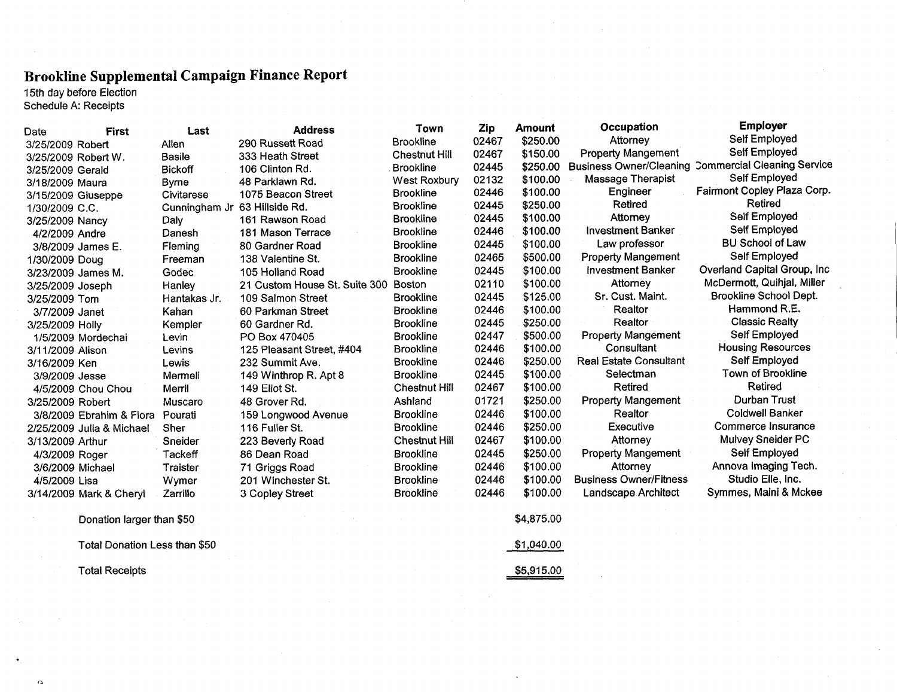# Brookline Supplemental Campaign Finance Report

 $\alpha$ 

|                    | 15th day before Election<br>Schedule A: Receipts |                | Brookline Supplemental Campaign Finance Report |                      |       |               |                                |                                    |
|--------------------|--------------------------------------------------|----------------|------------------------------------------------|----------------------|-------|---------------|--------------------------------|------------------------------------|
| Date               | <b>First</b>                                     | Last           | <b>Address</b>                                 | Town                 | Zip   | <b>Amount</b> | Occupation                     | <b>Employer</b>                    |
| 3/25/2009 Robert   |                                                  | Allen          | 290 Russett Road                               | <b>Brookline</b>     | 02467 | \$250.00      | Attorney                       | Self Employed                      |
|                    | 3/25/2009 Robert W.                              | <b>Basile</b>  | 333 Heath Street                               | <b>Chestnut Hill</b> | 02467 | \$150.00      | <b>Property Mangement</b>      | Self Employed                      |
| 3/25/2009 Gerald   |                                                  | <b>Bickoff</b> | 106 Clinton Rd.                                | <b>Brookline</b>     | 02445 | \$250.00      | <b>Business Owner/Cleaning</b> | <b>Commercial Cleaning Service</b> |
| 3/18/2009 Maura    |                                                  | Byrne          | 48 Parklawn Rd.                                | West Roxbury         | 02132 | \$100.00      | <b>Massage Therapist</b>       | Self Employed                      |
| 3/15/2009 Giuseppe |                                                  | Civitarese     | 1075 Beacon Street                             | <b>Brookline</b>     | 02446 | \$100.00      | Engineer                       | Fairmont Copley Plaza Corp.        |
| 1/30/2009 C.C.     |                                                  | Cunningham Jr  | 63 Hillside Rd.                                | <b>Brookline</b>     | 02445 | \$250.00      | Retired                        | Retired                            |
| 3/25/2009 Nancy    |                                                  | Daly           | 161 Rawson Road                                | <b>Brookline</b>     | 02445 | \$100.00      | Attorney                       | Self Employed                      |
| 4/2/2009 Andre     |                                                  | Danesh         | 181 Mason Terrace                              | <b>Brookline</b>     | 02446 | \$100.00      | <b>Investment Banker</b>       | Self Employed                      |
|                    | 3/8/2009 James E.                                | Fleming        | 80 Gardner Road                                | <b>Brookline</b>     | 02445 | \$100.00      | Law professor                  | <b>BU School of Law</b>            |
| 1/30/2009 Doug     |                                                  | Freeman        | 138 Valentine St.                              | <b>Brookline</b>     | 02465 | \$500.00      | <b>Property Mangement</b>      | Self Employed                      |
|                    | 3/23/2009 James M.                               | Godec          | 105 Holland Road                               | <b>Brookline</b>     | 02445 | \$100.00      | <b>Investment Banker</b>       | Overland Capital Group, Inc.       |
| 3/25/2009 Joseph   |                                                  | Hanley         | 21 Custom House St. Suite 300                  | Boston               | 02110 | \$100.00      | Attorney                       | McDermott, Quihjal, Miller         |
| 3/25/2009 Tom      |                                                  | Hantakas Jr.   | 109 Salmon Street                              | <b>Brookline</b>     | 02445 | \$125.00      | Sr. Cust. Maint.               | Brookline School Dept.             |
| 3/7/2009 Janet     |                                                  | Kahan          | 60 Parkman Street                              | <b>Brookline</b>     | 02446 | \$100.00      | Realtor                        | Hammond R.E.                       |
| 3/25/2009 Holly    |                                                  | Kempler        | 60 Gardner Rd.                                 | <b>Brookline</b>     | 02445 | \$250.00      | Realtor                        | <b>Classic Realty</b>              |
|                    | 1/5/2009 Mordechai                               | Levin          | PO Box 470405                                  | <b>Brookline</b>     | 02447 | \$500.00      | <b>Property Mangement</b>      | Self Employed                      |
| 3/11/2009 Alison   |                                                  | Levins         | 125 Pleasant Street, #404                      | <b>Brookline</b>     | 02446 | \$100.00      | Consultant                     | <b>Housing Resources</b>           |
| 3/16/2009 Ken      |                                                  | Lewis          | 232 Summit Ave.                                | <b>Brookline</b>     | 02446 | \$250.00      | <b>Real Estate Consultant</b>  | Self Employed                      |
| 3/9/2009 Jesse     |                                                  | Mermell        | 149 Winthrop R. Apt 8                          | <b>Brookline</b>     | 02445 | \$100.00      | Selectman                      | Town of Brookline                  |
|                    | 4/5/2009 Chou Chou                               | Merril         | 149 Eliot St.                                  | <b>Chestnut Hill</b> | 02467 | \$100.00      | <b>Retired</b>                 | Retired                            |
| 3/25/2009 Robert   |                                                  | Muscaro        | 48 Grover Rd.                                  | Ashland              | 01721 | \$250.00      | <b>Property Mangement</b>      | Durban Trust                       |
|                    | 3/8/2009 Ebrahim & Flora                         | Pourati        | 159 Longwood Avenue                            | <b>Brookline</b>     | 02446 | \$100.00      | Realtor                        | <b>Coldwell Banker</b>             |
|                    | 2/25/2009 Julia & Michael                        | Sher           | 116 Fuller St.                                 | <b>Brookline</b>     | 02446 | \$250.00      | Executive                      | Commerce Insurance                 |
| 3/13/2009 Arthur   |                                                  | Sneider        | 223 Beverly Road                               | <b>Chestnut Hill</b> | 02467 | \$100.00      | Attorney                       | Mulvey Sneider PC                  |
| 4/3/2009 Roger     |                                                  | Tackeff        | 86 Dean Road                                   | <b>Brookline</b>     | 02445 | \$250.00      | <b>Property Mangement</b>      | Self Employed                      |
| 3/6/2009 Michael   |                                                  | Traister       | 71 Griggs Road                                 | <b>Brookline</b>     | 02446 | \$100.00      | Attorney                       | Annova Imaging Tech.               |
| 4/5/2009 Lisa      |                                                  | Wymer          | 201 Winchester St.                             | <b>Brookline</b>     | 02446 | \$100.00      | <b>Business Owner/Fitness</b>  | Studio Elle, Inc.                  |
|                    | 3/14/2009 Mark & Cheryl                          | Zarrillo       | 3 Copley Street                                | <b>Brookline</b>     | 02446 | \$100.00      | Landscape Architect            | Symmes, Maini & Mckee              |
|                    | Denetten langen them CCO                         |                |                                                |                      |       | 0.407500      |                                |                                    |

Donation larger than 50 Total Donation Less than \$50 Donation larger than \$50<br>
Total Donation Less than \$50<br>
Total Receipts<br>
55,915.00<br>
55,915.00<br>
55,915.00<br>
55,915.00

\$4,875.00  $$1,040.00$ <br> $$5,915.00$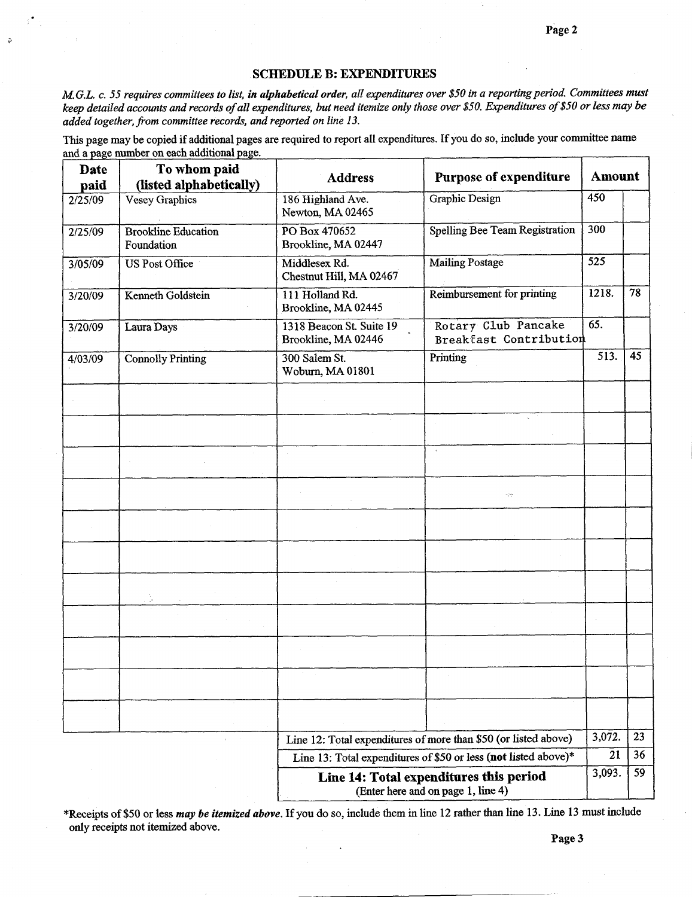#### SCHEDULE B: EXPENDITURES

SCHEDULE B: EXPENDITURES<br>M.G.L. c. 55 requires committees to list, in alphabetical order, all expenditures over \$50 in a reporting period. Committees musi<br>keep detailed accounts and records of all expenditures, but need it added together, from committee records, and reported on line 13.

This page may be copied if additional pages are required to report all expenditures. If you do so, include your committee name

| <b>Date</b> | To whom paid                             | <b>Address</b>                                  | <b>Purpose of expenditure</b>                                                 | <b>Amount</b> |    |
|-------------|------------------------------------------|-------------------------------------------------|-------------------------------------------------------------------------------|---------------|----|
| paid        | (listed alphabetically)                  |                                                 |                                                                               | 450           |    |
| 2/25/09     | Vesey Graphics                           | 186 Highland Ave.<br>Newton, MA 02465           | Graphic Design                                                                |               |    |
| 2/25/09     | <b>Brookline Education</b><br>Foundation | PO Box 470652<br>Brookline, MA 02447            | <b>Spelling Bee Team Registration</b>                                         | 300           |    |
| 3/05/09     | US Post Office                           | Middlesex Rd.<br>Chestnut Hill, MA 02467        | <b>Mailing Postage</b>                                                        | 525           |    |
| 3/20/09     | Kenneth Goldstein                        | 111 Holland Rd.<br>Brookline, MA 02445          | Reimbursement for printing                                                    | 1218.         | 78 |
| 3/20/09     | Laura Days                               | 1318 Beacon St. Suite 19<br>Brookline, MA 02446 | Rotary Club Pancake<br>Breakfast Contribution                                 | 65.           |    |
| 4/03/09     | <b>Connolly Printing</b>                 | 300 Salem St.<br>Woburn, MA 01801               | Printing                                                                      | 513.          | 45 |
|             |                                          |                                                 |                                                                               |               |    |
|             |                                          |                                                 |                                                                               |               |    |
|             |                                          |                                                 |                                                                               |               |    |
|             |                                          |                                                 | УY.                                                                           |               |    |
|             |                                          |                                                 |                                                                               |               |    |
|             |                                          |                                                 |                                                                               |               |    |
|             |                                          |                                                 |                                                                               |               |    |
|             |                                          |                                                 |                                                                               |               |    |
|             |                                          |                                                 |                                                                               |               |    |
|             |                                          |                                                 |                                                                               |               |    |
|             |                                          |                                                 |                                                                               |               |    |
|             |                                          |                                                 | Line 12: Total expenditures of more than \$50 (or listed above)               | 3,072.        | 23 |
|             |                                          |                                                 | Line 13: Total expenditures of \$50 or less (not listed above)*               | 21            | 36 |
|             |                                          |                                                 | Line 14: Total expenditures this period<br>(Enter here and on page 1, line 4) | 3,093.        | 59 |

\*Receipts of \$50 or less may be itemized above. If you do so, include them in line 12 rather than line 13. Line 13 must include only receipts not itemized above